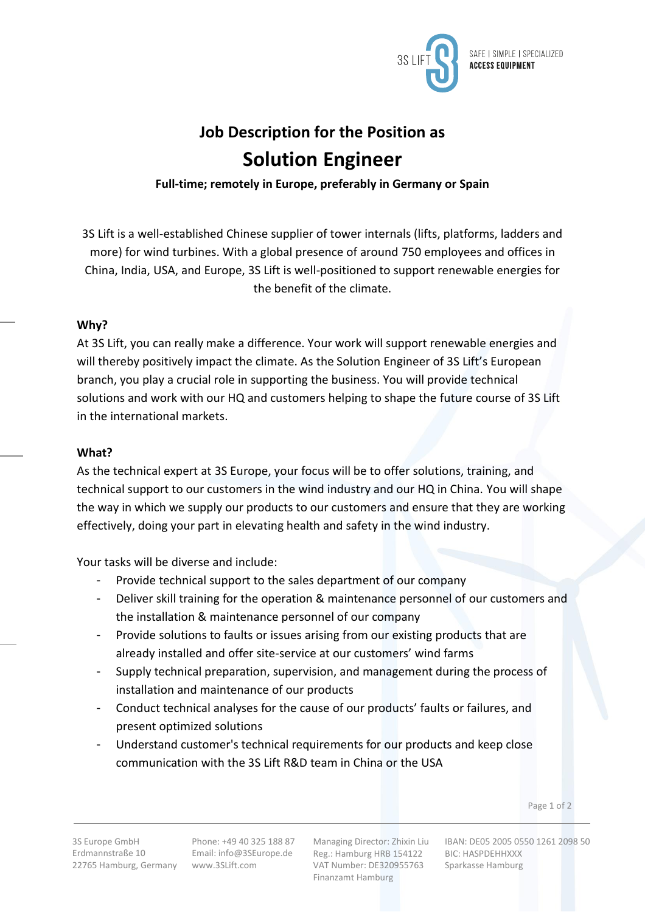

# **Job Description for the Position as Solution Engineer**

**Full-time; remotely in Europe, preferably in Germany or Spain**

3S Lift is a well-established Chinese supplier of tower internals (lifts, platforms, ladders and more) for wind turbines. With a global presence of around 750 employees and offices in China, India, USA, and Europe, 3S Lift is well-positioned to support renewable energies for the benefit of the climate.

## **Why?**

At 3S Lift, you can really make a difference. Your work will support renewable energies and will thereby positively impact the climate. As the Solution Engineer of 3S Lift's European branch, you play a crucial role in supporting the business. You will provide technical solutions and work with our HQ and customers helping to shape the future course of 3S Lift in the international markets.

## **What?**

As the technical expert at 3S Europe, your focus will be to offer solutions, training, and technical support to our customers in the wind industry and our HQ in China. You will shape the way in which we supply our products to our customers and ensure that they are working effectively, doing your part in elevating health and safety in the wind industry.

Your tasks will be diverse and include:

- Provide technical support to the sales department of our company
- Deliver skill training for the operation & maintenance personnel of our customers and the installation & maintenance personnel of our company
- Provide solutions to faults or issues arising from our existing products that are already installed and offer site-service at our customers' wind farms
- Supply technical preparation, supervision, and management during the process of installation and maintenance of our products
- Conduct technical analyses for the cause of our products' faults or failures, and present optimized solutions
- Understand customer's technical requirements for our products and keep close communication with the 3S Lift R&D team in China or the USA

Page 1 of 2

Managing Director: Zhixin Liu Reg.: Hamburg HRB 154122 VAT Number: DE320955763 Finanzamt Hamburg

IBAN: DE05 2005 0550 1261 2098 50 BIC: HASPDEHHXXX Sparkasse Hamburg